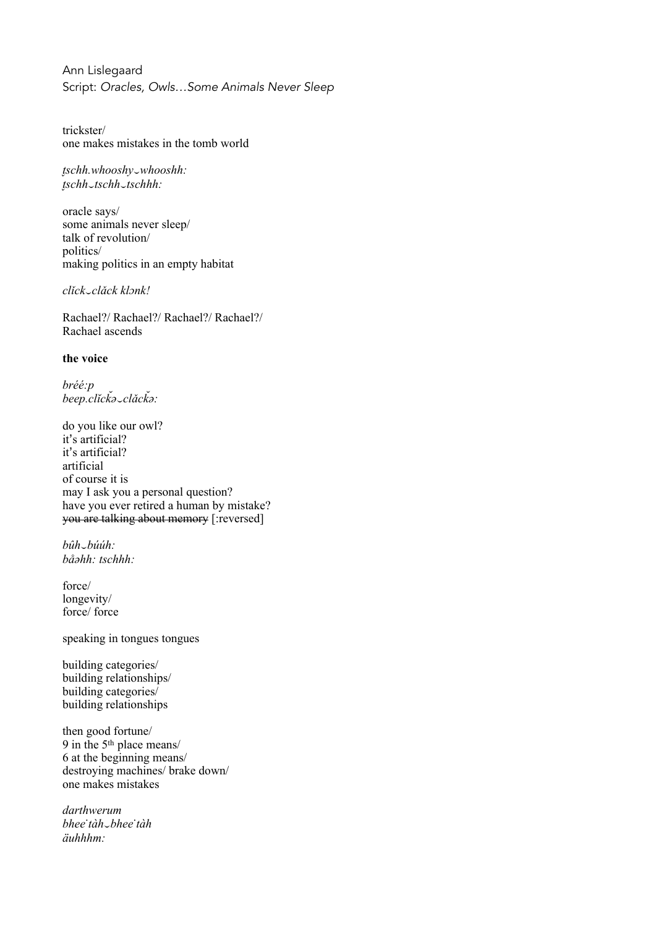Ann Lislegaard Script: *Oracles, Owls…Some Animals Never Sleep*

trickster/ one makes mistakes in the tomb world

*t̬schh.whooshy*⏑*whooshh: t̬schh*⏑*tschh*⏑*tschhh:*

oracle says/ some animals never sleep/ talk of revolution/ politics/ making politics in an empty habitat

*clǐck*⏑*clǎck klɔnk!*

Rachael?/ Rachael?/ Rachael?/ Rachael?/ Rachael ascends

## **the voice**

*bréé:p beep.clĭck̆ ə*⏑*clǎck̆ ə:*

do you like our owl? it's artificial? it's artificial? artificial of course it is may I ask you a personal question? have you ever retired a human by mistake? you are talking about memory [:reversed]

*bûh*⏑*búúh: båəhh: tschhh:*

force/ longevity/ force/ force

speaking in tongues tongues

building categories/ building relationships/ building categories/ building relationships

then good fortune/ 9 in the 5th place means/ 6 at the beginning means/ destroying machines/ brake down/ one makes mistakes

*darthwerum bhee ̇tàh*⏑*bhee ̇tàh äuhhhm:*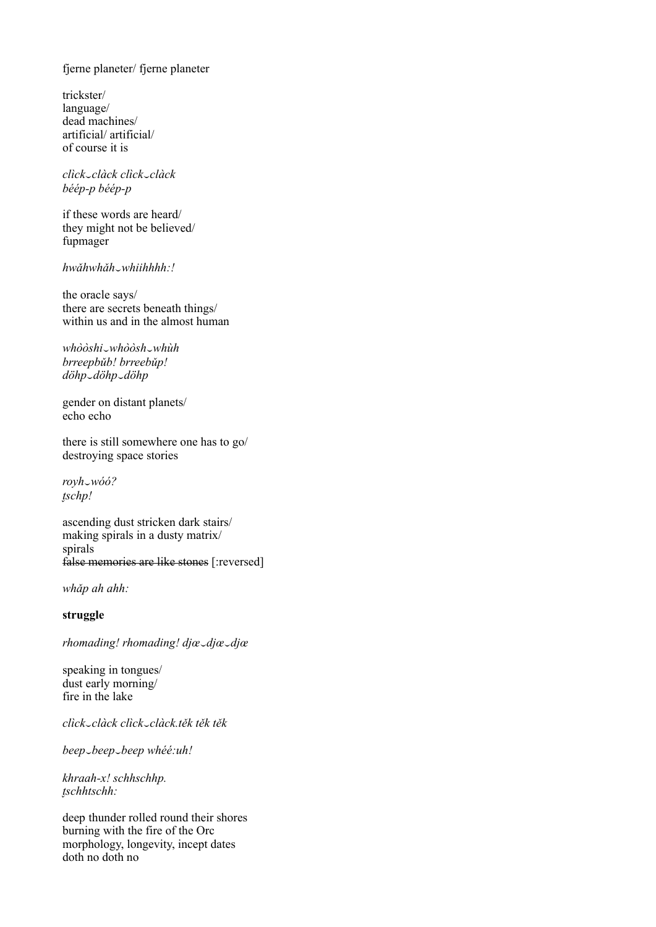fjerne planeter/ fjerne planeter

trickster/ language/ dead machines/ artificial/artificial/ of course it is

click\_clàck click\_clàck béép-p béép-p

if these words are heard/ they might not be believed/ fupmager

hwăhwhăh\_whiihhhh:!

the oracle says/ there are secrets beneath things/ within us and in the almost human

whòòshi\_whòòsh\_whùh brreepbŭb! brreebŭp! döhp\_döhp\_döhp

gender on distant planets/  $echo$  echo

there is still somewhere one has to go/ destroying space stories

royh\_wóó?  $tschp!$ 

ascending dust stricken dark stairs/ making spirals in a dusty matrix/ spirals false memories are like stones [:reversed]

whăp ah ahh:

struggle

rhomading! rhomading! djæ\_djæ\_djæ

speaking in tongues/ dust early morning/ fire in the lake

click\_clàck\_click\_clàck\_těk\_těk\_těk

beep\_beep\_beep whéé:uh!

khraah-x! schhschhp. tschhtschh:

deep thunder rolled round their shores burning with the fire of the Orc morphology, longevity, incept dates  $doth$  no doth no